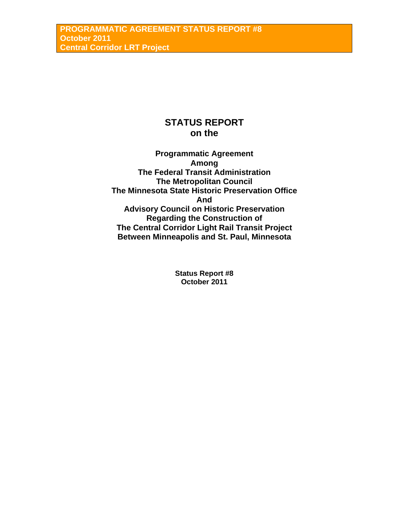# **STATUS REPORT on the**

**Programmatic Agreement Among The Federal Transit Administration The Metropolitan Council The Minnesota State Historic Preservation Office And Advisory Council on Historic Preservation Regarding the Construction of The Central Corridor Light Rail Transit Project Between Minneapolis and St. Paul, Minnesota** 

> **Status Report #8 October 2011**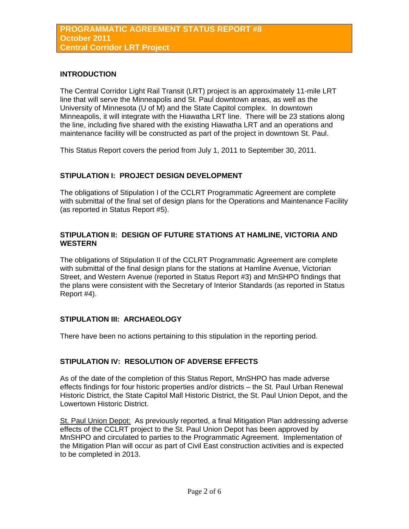#### **INTRODUCTION**

The Central Corridor Light Rail Transit (LRT) project is an approximately 11-mile LRT line that will serve the Minneapolis and St. Paul downtown areas, as well as the University of Minnesota (U of M) and the State Capitol complex. In downtown Minneapolis, it will integrate with the Hiawatha LRT line. There will be 23 stations along the line, including five shared with the existing Hiawatha LRT and an operations and maintenance facility will be constructed as part of the project in downtown St. Paul.

This Status Report covers the period from July 1, 2011 to September 30, 2011.

### **STIPULATION I: PROJECT DESIGN DEVELOPMENT**

The obligations of Stipulation I of the CCLRT Programmatic Agreement are complete with submittal of the final set of design plans for the Operations and Maintenance Facility (as reported in Status Report #5).

#### **STIPULATION II: DESIGN OF FUTURE STATIONS AT HAMLINE, VICTORIA AND WESTERN**

The obligations of Stipulation II of the CCLRT Programmatic Agreement are complete with submittal of the final design plans for the stations at Hamline Avenue, Victorian Street, and Western Avenue (reported in Status Report #3) and MnSHPO findings that the plans were consistent with the Secretary of Interior Standards (as reported in Status Report #4).

## **STIPULATION III: ARCHAEOLOGY**

There have been no actions pertaining to this stipulation in the reporting period.

## **STIPULATION IV: RESOLUTION OF ADVERSE EFFECTS**

As of the date of the completion of this Status Report, MnSHPO has made adverse effects findings for four historic properties and/or districts – the St. Paul Urban Renewal Historic District, the State Capitol Mall Historic District, the St. Paul Union Depot, and the Lowertown Historic District.

St. Paul Union Depot: As previously reported, a final Mitigation Plan addressing adverse effects of the CCLRT project to the St. Paul Union Depot has been approved by MnSHPO and circulated to parties to the Programmatic Agreement. Implementation of the Mitigation Plan will occur as part of Civil East construction activities and is expected to be completed in 2013.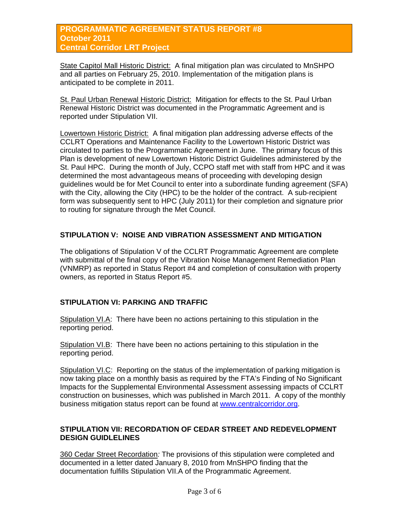#### **PROGRAMMATIC AGREEMENT STATUS REPORT #8 October 2011 Central Corridor LRT Project**

State Capitol Mall Historic District: A final mitigation plan was circulated to MnSHPO and all parties on February 25, 2010. Implementation of the mitigation plans is anticipated to be complete in 2011.

St. Paul Urban Renewal Historic District: Mitigation for effects to the St. Paul Urban Renewal Historic District was documented in the Programmatic Agreement and is reported under Stipulation VII.

Lowertown Historic District: A final mitigation plan addressing adverse effects of the CCLRT Operations and Maintenance Facility to the Lowertown Historic District was circulated to parties to the Programmatic Agreement in June. The primary focus of this Plan is development of new Lowertown Historic District Guidelines administered by the St. Paul HPC. During the month of July, CCPO staff met with staff from HPC and it was determined the most advantageous means of proceeding with developing design guidelines would be for Met Council to enter into a subordinate funding agreement (SFA) with the City, allowing the City (HPC) to be the holder of the contract. A sub-recipient form was subsequently sent to HPC (July 2011) for their completion and signature prior to routing for signature through the Met Council.

### **STIPULATION V: NOISE AND VIBRATION ASSESSMENT AND MITIGATION**

The obligations of Stipulation V of the CCLRT Programmatic Agreement are complete with submittal of the final copy of the Vibration Noise Management Remediation Plan (VNMRP) as reported in Status Report #4 and completion of consultation with property owners, as reported in Status Report #5.

## **STIPULATION VI: PARKING AND TRAFFIC**

Stipulation VI.A: There have been no actions pertaining to this stipulation in the reporting period.

Stipulation VI.B: There have been no actions pertaining to this stipulation in the reporting period.

Stipulation VI.C: Reporting on the status of the implementation of parking mitigation is now taking place on a monthly basis as required by the FTA's Finding of No Significant Impacts for the Supplemental Environmental Assessment assessing impacts of CCLRT construction on businesses, which was published in March 2011. A copy of the monthly business mitigation status report can be found at [www.centralcorridor.org.](http://www.centralcorridor.org/)

#### **STIPULATION VII: RECORDATION OF CEDAR STREET AND REDEVELOPMENT DESIGN GUIDLELINES**

360 Cedar Street Recordation*:* The provisions of this stipulation were completed and documented in a letter dated January 8, 2010 from MnSHPO finding that the documentation fulfills Stipulation VII.A of the Programmatic Agreement.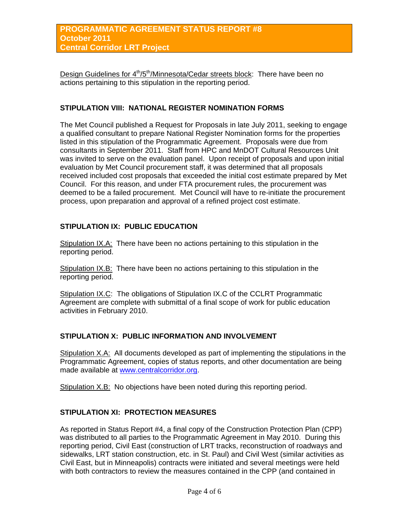Design Guidelines for  $4<sup>th</sup>/5<sup>th</sup>/Minnesota/Cedar streets block: There have been no$ actions pertaining to this stipulation in the reporting period.

#### **STIPULATION VIII: NATIONAL REGISTER NOMINATION FORMS**

The Met Council published a Request for Proposals in late July 2011, seeking to engage a qualified consultant to prepare National Register Nomination forms for the properties listed in this stipulation of the Programmatic Agreement. Proposals were due from consultants in September 2011. Staff from HPC and MnDOT Cultural Resources Unit was invited to serve on the evaluation panel. Upon receipt of proposals and upon initial evaluation by Met Council procurement staff, it was determined that all proposals received included cost proposals that exceeded the initial cost estimate prepared by Met Council. For this reason, and under FTA procurement rules, the procurement was deemed to be a failed procurement. Met Council will have to re-initiate the procurement process, upon preparation and approval of a refined project cost estimate.

#### **STIPULATION IX: PUBLIC EDUCATION**

Stipulation IX.A: There have been no actions pertaining to this stipulation in the reporting period.

Stipulation IX.B: There have been no actions pertaining to this stipulation in the reporting period.

Stipulation IX.C: The obligations of Stipulation IX.C of the CCLRT Programmatic Agreement are complete with submittal of a final scope of work for public education activities in February 2010.

#### **STIPULATION X: PUBLIC INFORMATION AND INVOLVEMENT**

Stipulation X.A: All documents developed as part of implementing the stipulations in the Programmatic Agreement, copies of status reports, and other documentation are being made available at [www.centralcorridor.org](http://www.centralcorridor.org/).

Stipulation X.B: No objections have been noted during this reporting period.

#### **STIPULATION XI: PROTECTION MEASURES**

As reported in Status Report #4, a final copy of the Construction Protection Plan (CPP) was distributed to all parties to the Programmatic Agreement in May 2010. During this reporting period, Civil East (construction of LRT tracks, reconstruction of roadways and sidewalks, LRT station construction, etc. in St. Paul) and Civil West (similar activities as Civil East, but in Minneapolis) contracts were initiated and several meetings were held with both contractors to review the measures contained in the CPP (and contained in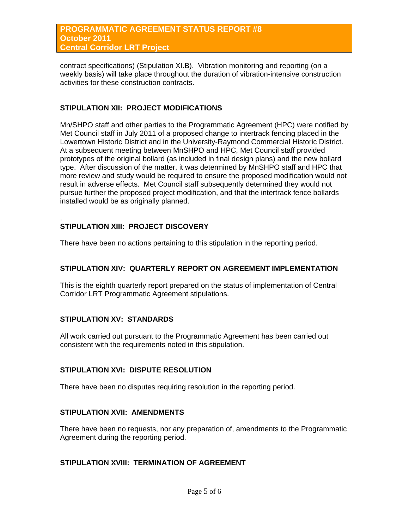contract specifications) (Stipulation XI.B). Vibration monitoring and reporting (on a weekly basis) will take place throughout the duration of vibration-intensive construction activities for these construction contracts.

#### **STIPULATION XII: PROJECT MODIFICATIONS**

Mn/SHPO staff and other parties to the Programmatic Agreement (HPC) were notified by Met Council staff in July 2011 of a proposed change to intertrack fencing placed in the Lowertown Historic District and in the University-Raymond Commercial Historic District. At a subsequent meeting between MnSHPO and HPC, Met Council staff provided prototypes of the original bollard (as included in final design plans) and the new bollard type. After discussion of the matter, it was determined by MnSHPO staff and HPC that more review and study would be required to ensure the proposed modification would not result in adverse effects. Met Council staff subsequently determined they would not pursue further the proposed project modification, and that the intertrack fence bollards installed would be as originally planned.

#### . **STIPULATION XIII: PROJECT DISCOVERY**

There have been no actions pertaining to this stipulation in the reporting period.

#### **STIPULATION XIV: QUARTERLY REPORT ON AGREEMENT IMPLEMENTATION**

This is the eighth quarterly report prepared on the status of implementation of Central Corridor LRT Programmatic Agreement stipulations.

#### **STIPULATION XV: STANDARDS**

All work carried out pursuant to the Programmatic Agreement has been carried out consistent with the requirements noted in this stipulation.

#### **STIPULATION XVI: DISPUTE RESOLUTION**

There have been no disputes requiring resolution in the reporting period.

#### **STIPULATION XVII: AMENDMENTS**

There have been no requests, nor any preparation of, amendments to the Programmatic Agreement during the reporting period.

#### **STIPULATION XVIII: TERMINATION OF AGREEMENT**